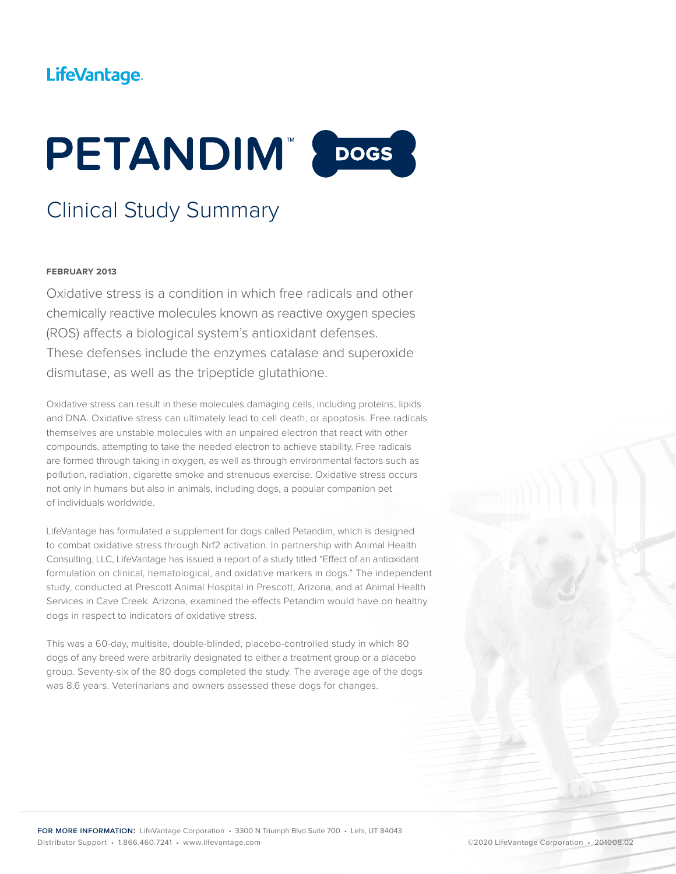## LifeVantage.



# Clinical Study Summary

#### **FEBRUARY 2013**

Oxidative stress is a condition in which free radicals and other chemically reactive molecules known as reactive oxygen species (ROS) affects a biological system's antioxidant defenses. These defenses include the enzymes catalase and superoxide dismutase, as well as the tripeptide glutathione.

Oxidative stress can result in these molecules damaging cells, including proteins, lipids and DNA. Oxidative stress can ultimately lead to cell death, or apoptosis. Free radicals themselves are unstable molecules with an unpaired electron that react with other compounds, attempting to take the needed electron to achieve stability. Free radicals are formed through taking in oxygen, as well as through environmental factors such as pollution, radiation, cigarette smoke and strenuous exercise. Oxidative stress occurs not only in humans but also in animals, including dogs, a popular companion pet of individuals worldwide.

LifeVantage has formulated a supplement for dogs called Petandim, which is designed to combat oxidative stress through Nrf2 activation. In partnership with Animal Health Consulting, LLC, LifeVantage has issued a report of a study titled "Effect of an antioxidant formulation on clinical, hematological, and oxidative markers in dogs." The independent study, conducted at Prescott Animal Hospital in Prescott, Arizona, and at Animal Health Services in Cave Creek. Arizona, examined the effects Petandim would have on healthy dogs in respect to indicators of oxidative stress.

This was a 60-day, multisite, double-blinded, placebo-controlled study in which 80 dogs of any breed were arbitrarily designated to either a treatment group or a placebo group. Seventy-six of the 80 dogs completed the study. The average age of the dogs was 8.6 years. Veterinarians and owners assessed these dogs for changes.